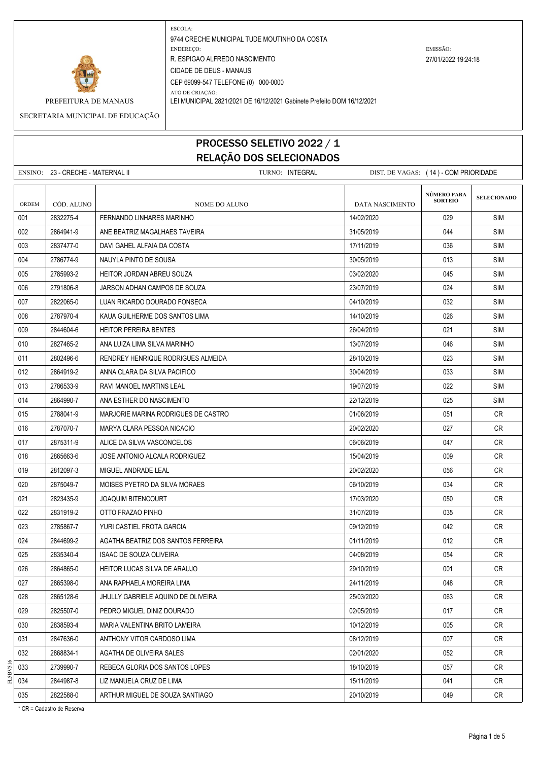

ATO DE CRIAÇÃO: PREFEITURA DE MANAUS LEI MUNICIPAL 2821/2021 DE 16/12/2021 Gabinete Prefeito DOM 16/12/2021

SECRETARIA MUNICIPAL DE EDUCAÇÃO

### PROCESSO SELETIVO 2022 / 1 RELAÇÃO DOS SELECIONADOS

| <b>RELAÇÃO DOS SELECIONADOS</b>                                                               |            |                                     |                 |                               |                    |  |
|-----------------------------------------------------------------------------------------------|------------|-------------------------------------|-----------------|-------------------------------|--------------------|--|
| TURNO: INTEGRAL<br>ENSINO: 23 - CRECHE - MATERNAL II<br>DIST. DE VAGAS: (14) - COM PRIORIDADE |            |                                     |                 |                               |                    |  |
| <b>ORDEM</b>                                                                                  | CÓD. ALUNO | <b>NOME DO ALUNO</b>                | DATA NASCIMENTO | NÚMERO PARA<br><b>SORTEIO</b> | <b>SELECIONADO</b> |  |
| 001                                                                                           | 2832275-4  | FERNANDO LINHARES MARINHO           | 14/02/2020      | 029                           | <b>SIM</b>         |  |
| 002                                                                                           | 2864941-9  | ANE BEATRIZ MAGALHAES TAVEIRA       | 31/05/2019      | 044                           | <b>SIM</b>         |  |
| 003                                                                                           | 2837477-0  | DAVI GAHEL ALFAIA DA COSTA          | 17/11/2019      | 036                           | <b>SIM</b>         |  |
| 004                                                                                           | 2786774-9  | NAUYLA PINTO DE SOUSA               | 30/05/2019      | 013                           | <b>SIM</b>         |  |
| 005                                                                                           | 2785993-2  | HEITOR JORDAN ABREU SOUZA           | 03/02/2020      | 045                           | <b>SIM</b>         |  |
| 006                                                                                           | 2791806-8  | JARSON ADHAN CAMPOS DE SOUZA        | 23/07/2019      | 024                           | <b>SIM</b>         |  |
| 007                                                                                           | 2822065-0  | LUAN RICARDO DOURADO FONSECA        | 04/10/2019      | 032                           | <b>SIM</b>         |  |
| 008                                                                                           | 2787970-4  | KAUA GUILHERME DOS SANTOS LIMA      | 14/10/2019      | 026                           | <b>SIM</b>         |  |
| 009                                                                                           | 2844604-6  | <b>HEITOR PEREIRA BENTES</b>        | 26/04/2019      | 021                           | <b>SIM</b>         |  |
| 010                                                                                           | 2827465-2  | ANA LUIZA LIMA SILVA MARINHO        | 13/07/2019      | 046                           | SIM                |  |
| 011                                                                                           | 2802496-6  | RENDREY HENRIQUE RODRIGUES ALMEIDA  | 28/10/2019      | 023                           | <b>SIM</b>         |  |
| 012                                                                                           | 2864919-2  | ANNA CLARA DA SILVA PACIFICO        | 30/04/2019      | 033                           | <b>SIM</b>         |  |
| 013                                                                                           | 2786533-9  | RAVI MANOEL MARTINS LEAL            | 19/07/2019      | 022                           | <b>SIM</b>         |  |
| 014                                                                                           | 2864990-7  | ANA ESTHER DO NASCIMENTO            | 22/12/2019      | 025                           | <b>SIM</b>         |  |
| 015                                                                                           | 2788041-9  | MARJORIE MARINA RODRIGUES DE CASTRO | 01/06/2019      | 051                           | <b>CR</b>          |  |
| 016                                                                                           | 2787070-7  | MARYA CLARA PESSOA NICACIO          | 20/02/2020      | 027                           | <b>CR</b>          |  |
| 017                                                                                           | 2875311-9  | ALICE DA SILVA VASCONCELOS          | 06/06/2019      | 047                           | <b>CR</b>          |  |
| 018                                                                                           | 2865663-6  | JOSE ANTONIO ALCALA RODRIGUEZ       | 15/04/2019      | 009                           | CR                 |  |
| 019                                                                                           | 2812097-3  | MIGUEL ANDRADE LEAL                 | 20/02/2020      | 056                           | <b>CR</b>          |  |
| 020                                                                                           | 2875049-7  | MOISES PYETRO DA SILVA MORAES       | 06/10/2019      | 034                           | CR                 |  |
| 021                                                                                           | 2823435-9  | <b>JOAQUIM BITENCOURT</b>           | 17/03/2020      | 050                           | CR                 |  |
| 022                                                                                           | 2831919-2  | OTTO FRAZAO PINHO                   | 31/07/2019      | 035                           | <b>CR</b>          |  |
| 023                                                                                           | 2785867-7  | YURI CASTIEL FROTA GARCIA           | 09/12/2019      | 042                           | CR                 |  |
| 024                                                                                           | 2844699-2  | AGATHA BEATRIZ DOS SANTOS FERREIRA  | 01/11/2019      | 012                           | CR                 |  |
| 025                                                                                           | 2835340-4  | ISAAC DE SOUZA OLIVEIRA             | 04/08/2019      | 054                           | CR                 |  |
| 026                                                                                           | 2864865-0  | HEITOR LUCAS SILVA DE ARAUJO        | 29/10/2019      | 001                           | CR                 |  |
| 027                                                                                           | 2865398-0  | ANA RAPHAELA MOREIRA LIMA           | 24/11/2019      | 048                           | <b>CR</b>          |  |
| 028                                                                                           | 2865128-6  | JHULLY GABRIELE AQUINO DE OLIVEIRA  | 25/03/2020      | 063                           | CR                 |  |
| 029                                                                                           | 2825507-0  | PEDRO MIGUEL DINIZ DOURADO          | 02/05/2019      | 017                           | CR                 |  |
| 030                                                                                           | 2838593-4  | MARIA VALENTINA BRITO LAMEIRA       | 10/12/2019      | 005                           | CR                 |  |
| 031                                                                                           | 2847636-0  | ANTHONY VITOR CARDOSO LIMA          | 08/12/2019      | 007                           | CR                 |  |
| 032                                                                                           | 2868834-1  | AGATHA DE OLIVEIRA SALES            | 02/01/2020      | 052                           | CR                 |  |

033 2739990-7 REBECA GLORIA DOS SANTOS LOPES 18/10/2019 18/10/2019 057 CR 034 2844987-8 LIZ MANUELA CRUZ DE LIMA 15/11/2019 15/11/2019 15/11/2019 15/11/2019 15/11/2019 15/11/2019 15/1 035 2822588-0 ARTHUR MIGUEL DE SOUZA SANTIAGO 2010/2019 20/10/2019 20/10/2019 20:20

FL5BV516

\* CR = Cadastro de Reserva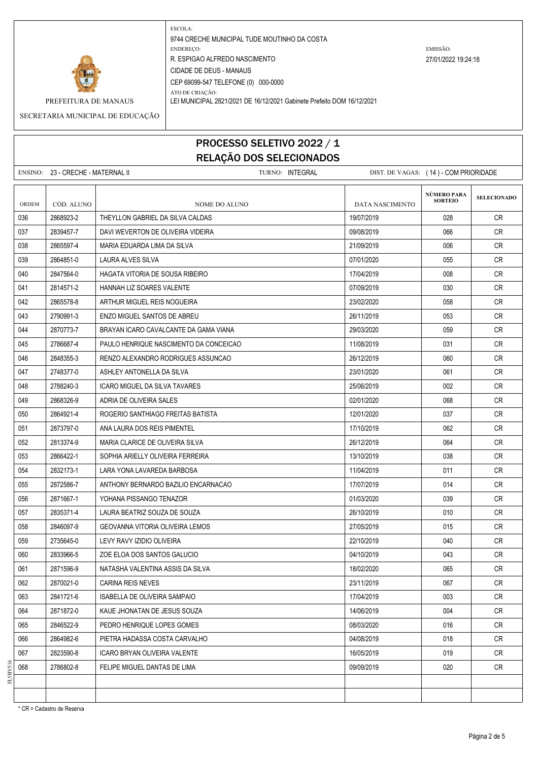

ATO DE CRIAÇÃO: PREFEITURA DE MANAUS LEI MUNICIPAL 2821/2021 DE 16/12/2021 Gabinete Prefeito DOM 16/12/2021

SECRETARIA MUNICIPAL DE EDUCAÇÃO

# PROCESSO SELETIVO 2022 / 1 RELAÇÃO DOS SELECIONADOS

|       | ENSINO: 23 - CRECHE - MATERNAL II<br>TURNO: INTEGRAL |                                        | DIST. DE VAGAS: (14) - COM PRIORIDADE |                                      |                    |  |
|-------|------------------------------------------------------|----------------------------------------|---------------------------------------|--------------------------------------|--------------------|--|
| ORDEM | CÓD. ALUNO                                           | NOME DO ALUNO                          | DATA NASCIMENTO                       | <b>NÚMERO PARA</b><br><b>SORTEIO</b> | <b>SELECIONADO</b> |  |
| 036   | 2868923-2                                            | THEYLLON GABRIEL DA SILVA CALDAS       | 19/07/2019                            | 028                                  | CR                 |  |
| 037   | 2839457-7                                            | DAVI WEVERTON DE OLIVEIRA VIDEIRA      | 09/08/2019                            | 066                                  | <b>CR</b>          |  |
| 038   | 2865597-4                                            | MARIA EDUARDA LIMA DA SILVA            | 21/09/2019                            | 006                                  | <b>CR</b>          |  |
| 039   | 2864851-0                                            | LAURA ALVES SILVA                      | 07/01/2020                            | 055                                  | <b>CR</b>          |  |
| 040   | 2847564-0                                            | HAGATA VITORIA DE SOUSA RIBEIRO        | 17/04/2019                            | 008                                  | CR                 |  |
| 041   | 2814571-2                                            | HANNAH LIZ SOARES VALENTE              | 07/09/2019                            | 030                                  | CR                 |  |
| 042   | 2865578-8                                            | ARTHUR MIGUEL REIS NOGUEIRA            | 23/02/2020                            | 058                                  | <b>CR</b>          |  |
| 043   | 2790991-3                                            | ENZO MIGUEL SANTOS DE ABREU            | 26/11/2019                            | 053                                  | CR                 |  |
| 044   | 2870773-7                                            | BRAYAN ICARO CAVALCANTE DA GAMA VIANA  | 29/03/2020                            | 059                                  | <b>CR</b>          |  |
| 045   | 2786687-4                                            | PAULO HENRIQUE NASCIMENTO DA CONCEICAO | 11/08/2019                            | 031                                  | CR                 |  |
| 046   | 2848355-3                                            | RENZO ALEXANDRO RODRIGUES ASSUNCAO     | 26/12/2019                            | 060                                  | CR                 |  |
| 047   | 2748377-0                                            | ASHLEY ANTONELLA DA SILVA              | 23/01/2020                            | 061                                  | CR                 |  |
| 048   | 2788240-3                                            | ICARO MIGUEL DA SILVA TAVARES          | 25/06/2019                            | 002                                  | <b>CR</b>          |  |
| 049   | 2868326-9                                            | ADRIA DE OLIVEIRA SALES                | 02/01/2020                            | 068                                  | CR.                |  |
| 050   | 2864921-4                                            | ROGERIO SANTHIAGO FREITAS BATISTA      | 12/01/2020                            | 037                                  | <b>CR</b>          |  |
| 051   | 2873797-0                                            | ANA LAURA DOS REIS PIMENTEL            | 17/10/2019                            | 062                                  | <b>CR</b>          |  |
| 052   | 2813374-9                                            | MARIA CLARICE DE OLIVEIRA SILVA        | 26/12/2019                            | 064                                  | <b>CR</b>          |  |
| 053   | 2866422-1                                            | SOPHIA ARIELLY OLIVEIRA FERREIRA       | 13/10/2019                            | 038                                  | CR                 |  |
| 054   | 2832173-1                                            | LARA YONA LAVAREDA BARBOSA             | 11/04/2019                            | 011                                  | CR                 |  |
| 055   | 2872586-7                                            | ANTHONY BERNARDO BAZILIO ENCARNACAO    | 17/07/2019                            | 014                                  | <b>CR</b>          |  |
| 056   | 2871667-1                                            | YOHANA PISSANGO TENAZOR                | 01/03/2020                            | 039                                  | <b>CR</b>          |  |
| 057   | 2835371-4                                            | LAURA BEATRIZ SOUZA DE SOUZA           | 26/10/2019                            | 010                                  | CR                 |  |
| 058   | 2846097-9                                            | GEOVANNA VITORIA OLIVEIRA LEMOS        | 27/05/2019                            | 015                                  | CR                 |  |
| 059   | 2735645-0                                            | LEVY RAVY IZIDIO OLIVEIRA              | 22/10/2019                            | 040                                  | CR                 |  |
| 060   | 2833966-5                                            | ZOE ELOA DOS SANTOS GALUCIO            | 04/10/2019                            | 043                                  | <b>CR</b>          |  |
| 061   | 2871596-9                                            | NATASHA VALENTINA ASSIS DA SILVA       | 18/02/2020                            | 065                                  | CR                 |  |
| 062   | 2870021-0                                            | <b>CARINA REIS NEVES</b>               | 23/11/2019                            | 067                                  | CR                 |  |
| 063   | 2841721-6                                            | <b>ISABELLA DE OLIVEIRA SAMPAIO</b>    | 17/04/2019                            | 003                                  | <b>CR</b>          |  |
| 064   | 2871872-0                                            | KAUE JHONATAN DE JESUS SOUZA           | 14/06/2019                            | 004                                  | CR                 |  |
| 065   | 2846522-9                                            | PEDRO HENRIQUE LOPES GOMES             | 08/03/2020                            | 016                                  | CR                 |  |
| 066   | 2864982-6                                            | PIETRA HADASSA COSTA CARVALHO          | 04/08/2019                            | 018                                  | <b>CR</b>          |  |
| 067   | 2823590-8                                            | ICARO BRYAN OLIVEIRA VALENTE           | 16/05/2019                            | 019                                  | CR                 |  |
| 068   | 2786802-8                                            | FELIPE MIGUEL DANTAS DE LIMA           | 09/09/2019                            | 020                                  | CR                 |  |
|       |                                                      |                                        |                                       |                                      |                    |  |

\* CR = Cadastro de Reserva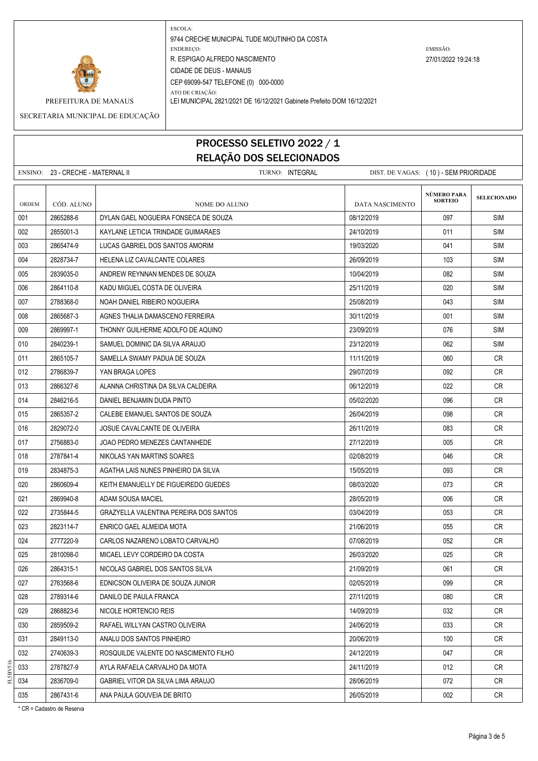

ATO DE CRIAÇÃO: PREFEITURA DE MANAUS LEI MUNICIPAL 2821/2021 DE 16/12/2021 Gabinete Prefeito DOM 16/12/2021

SECRETARIA MUNICIPAL DE EDUCAÇÃO

### PROCESSO SELETIVO 2022 / 1 RELAÇÃO DOS SELECIONADOS

|       | ENSINO: 23 - CRECHE - MATERNAL II |                                        | TURNO: INTEGRAL |                 | DIST. DE VAGAS: (10) - SEM PRIORIDADE |                    |
|-------|-----------------------------------|----------------------------------------|-----------------|-----------------|---------------------------------------|--------------------|
| ORDEM | CÓD. ALUNO                        | <b>NOME DO ALUNO</b>                   |                 | DATA NASCIMENTO | NÚMERO PARA<br><b>SORTEIO</b>         | <b>SELECIONADO</b> |
| 001   | 2865288-6                         | DYLAN GAEL NOGUEIRA FONSECA DE SOUZA   |                 | 08/12/2019      | 097                                   | <b>SIM</b>         |
| 002   | 2855001-3                         | KAYLANE LETICIA TRINDADE GUIMARAES     |                 | 24/10/2019      | 011                                   | <b>SIM</b>         |
| 003   | 2865474-9                         | LUCAS GABRIEL DOS SANTOS AMORIM        |                 | 19/03/2020      | 041                                   | <b>SIM</b>         |
| 004   | 2828734-7                         | HELENA LIZ CAVALCANTE COLARES          |                 | 26/09/2019      | 103                                   | SIM                |
| 005   | 2839035-0                         | ANDREW REYNNAN MENDES DE SOUZA         |                 | 10/04/2019      | 082                                   | <b>SIM</b>         |
| 006   | 2864110-8                         | KADU MIGUEL COSTA DE OLIVEIRA          |                 | 25/11/2019      | 020                                   | SIM                |
| 007   | 2788368-0                         | NOAH DANIEL RIBEIRO NOGUEIRA           |                 | 25/08/2019      | 043                                   | <b>SIM</b>         |
| 008   | 2865687-3                         | AGNES THALIA DAMASCENO FERREIRA        |                 | 30/11/2019      | 001                                   | <b>SIM</b>         |
| 009   | 2869997-1                         | THONNY GUILHERME ADOLFO DE AQUINO      |                 | 23/09/2019      | 076                                   | <b>SIM</b>         |
| 010   | 2840239-1                         | SAMUEL DOMINIC DA SILVA ARAUJO         |                 | 23/12/2019      | 062                                   | <b>SIM</b>         |
| 011   | 2865105-7                         | SAMELLA SWAMY PADUA DE SOUZA           |                 | 11/11/2019      | 060                                   | CR.                |
| 012   | 2786839-7                         | YAN BRAGA LOPES                        |                 | 29/07/2019      | 092                                   | CR                 |
| 013   | 2866327-6                         | ALANNA CHRISTINA DA SILVA CALDEIRA     |                 | 06/12/2019      | 022                                   | CR                 |
| 014   | 2846216-5                         | DANIEL BENJAMIN DUDA PINTO             |                 | 05/02/2020      | 096                                   | <b>CR</b>          |
| 015   | 2865357-2                         | CALEBE EMANUEL SANTOS DE SOUZA         |                 | 26/04/2019      | 098                                   | CR                 |
| 016   | 2829072-0                         | JOSUE CAVALCANTE DE OLIVEIRA           |                 | 26/11/2019      | 083                                   | CR.                |
| 017   | 2756883-0                         | JOAO PEDRO MENEZES CANTANHEDE          |                 | 27/12/2019      | 005                                   | <b>CR</b>          |
| 018   | 2787841-4                         | NIKOLAS YAN MARTINS SOARES             |                 | 02/08/2019      | 046                                   | CR                 |
| 019   | 2834875-3                         | AGATHA LAIS NUNES PINHEIRO DA SILVA    |                 | 15/05/2019      | 093                                   | CR.                |
| 020   | 2860609-4                         | KEITH EMANUELLY DE FIGUEIREDO GUEDES   |                 | 08/03/2020      | 073                                   | <b>CR</b>          |
| 021   | 2869940-8                         | ADAM SOUSA MACIEL                      |                 | 28/05/2019      | 006                                   | CR                 |
| 022   | 2735844-5                         | GRAZYELLA VALENTINA PEREIRA DOS SANTOS |                 | 03/04/2019      | 053                                   | CR                 |
| 023   | 2823114-7                         | ENRICO GAEL ALMEIDA MOTA               |                 | 21/06/2019      | 055                                   | <b>CR</b>          |
| 024   | 2777220-9                         | CARLOS NAZARENO LOBATO CARVALHO        |                 | 07/08/2019      | 052                                   | CR.                |
| 025   | 2810098-0                         | MICAEL LEVY CORDEIRO DA COSTA          |                 | 26/03/2020      | 025                                   | CR                 |
| 026   | 2864315-1                         | NICOLAS GABRIEL DOS SANTOS SILVA       |                 | 21/09/2019      | 061                                   | CR                 |
| 027   | 2763568-6                         | EDNICSON OLIVEIRA DE SOUZA JUNIOR      |                 | 02/05/2019      | 099                                   | CR                 |
| 028   | 2789314-6                         | DANILO DE PAULA FRANCA                 |                 | 27/11/2019      | 080                                   | <b>CR</b>          |
| 029   | 2868823-6                         | NICOLE HORTENCIO REIS                  |                 | 14/09/2019      | 032                                   | CR                 |
| 030   | 2859509-2                         | RAFAEL WILLYAN CASTRO OLIVEIRA         |                 | 24/06/2019      | 033                                   | CR                 |
| 031   | 2849113-0                         | ANALU DOS SANTOS PINHEIRO              |                 | 20/06/2019      | 100                                   | <b>CR</b>          |
| 032   | 2740639-3                         | ROSQUILDE VALENTE DO NASCIMENTO FILHO  |                 | 24/12/2019      | 047                                   | CR                 |
| 033   | 2787827-9                         | AYLA RAFAELA CARVALHO DA MOTA          |                 | 24/11/2019      | 012                                   | <b>CR</b>          |
| 034   | 2836709-0                         | GABRIEL VITOR DA SILVA LIMA ARAUJO     |                 | 28/06/2019      | 072                                   | CR                 |
| 035   | 2867431-6                         | ANA PAULA GOUVEIA DE BRITO             |                 | 26/05/2019      | 002                                   | CR                 |

\* CR = Cadastro de Reserva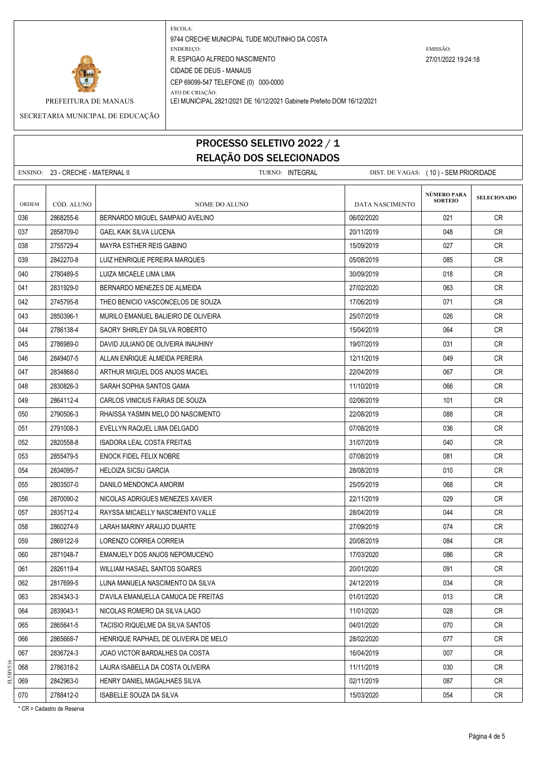

ATO DE CRIAÇÃO: PREFEITURA DE MANAUS LEI MUNICIPAL 2821/2021 DE 16/12/2021 Gabinete Prefeito DOM 16/12/2021

SECRETARIA MUNICIPAL DE EDUCAÇÃO

### PROCESSO SELETIVO 2022 / 1 RELAÇÃO DOS SELECIONADOS

| NLLAYAV DUJ JLLLVIVINADUJ |                                                                                               |                                      |                        |                               |                    |  |
|---------------------------|-----------------------------------------------------------------------------------------------|--------------------------------------|------------------------|-------------------------------|--------------------|--|
|                           | ENSINO: 23 - CRECHE - MATERNAL II<br>TURNO: INTEGRAL<br>DIST. DE VAGAS: (10) - SEM PRIORIDADE |                                      |                        |                               |                    |  |
| ORDEM                     | CÓD. ALUNO                                                                                    | <b>NOME DO ALUNO</b>                 | <b>DATA NASCIMENTO</b> | NÚMERO PARA<br><b>SORTEIO</b> | <b>SELECIONADO</b> |  |
| 036                       | 2868255-6                                                                                     | BERNARDO MIGUEL SAMPAIO AVELINO      | 06/02/2020             | 021                           | <b>CR</b>          |  |
| 037                       | 2858709-0                                                                                     | GAEL KAIK SILVA LUCENA               | 20/11/2019             | 048                           | CR                 |  |
| 038                       | 2755729-4                                                                                     | <b>MAYRA ESTHER REIS GABINO</b>      | 15/09/2019             | 027                           | <b>CR</b>          |  |
| 039                       | 2842270-8                                                                                     | LUIZ HENRIQUE PEREIRA MARQUES        | 05/08/2019             | 085                           | <b>CR</b>          |  |
| 040                       | 2780489-5                                                                                     | LUIZA MICAELE LIMA LIMA              | 30/09/2019             | 018                           | CR                 |  |
| 041                       | 2831929-0                                                                                     | BERNARDO MENEZES DE ALMEIDA          | 27/02/2020             | 063                           | CR                 |  |
| 042                       | 2745795-8                                                                                     | THEO BENICIO VASCONCELOS DE SOUZA    | 17/06/2019             | 071                           | CR                 |  |
| 043                       | 2850396-1                                                                                     | MURILO EMANUEL BALIEIRO DE OLIVEIRA  | 25/07/2019             | 026                           | <b>CR</b>          |  |
| 044                       | 2786138-4                                                                                     | SAORY SHIRLEY DA SILVA ROBERTO       | 15/04/2019             | 064                           | <b>CR</b>          |  |
| 045                       | 2786989-0                                                                                     | DAVID JULIANO DE OLIVEIRA INAUHINY   | 19/07/2019             | 031                           | <b>CR</b>          |  |
| 046                       | 2849407-5                                                                                     | ALLAN ENRIQUE ALMEIDA PEREIRA        | 12/11/2019             | 049                           | <b>CR</b>          |  |
| 047                       | 2834868-0                                                                                     | ARTHUR MIGUEL DOS ANJOS MACIEL       | 22/04/2019             | 067                           | CR                 |  |
| 048                       | 2830826-3                                                                                     | SARAH SOPHIA SANTOS GAMA             | 11/10/2019             | 066                           | <b>CR</b>          |  |
| 049                       | 2864112-4                                                                                     | CARLOS VINICIUS FARIAS DE SOUZA      | 02/06/2019             | 101                           | <b>CR</b>          |  |
| 050                       | 2790506-3                                                                                     | RHAISSA YASMIN MELO DO NASCIMENTO    | 22/08/2019             | 088                           | <b>CR</b>          |  |
| 051                       | 2791008-3                                                                                     | EVELLYN RAQUEL LIMA DELGADO          | 07/08/2019             | 036                           | <b>CR</b>          |  |
| 052                       | 2820558-8                                                                                     | <b>ISADORA LEAL COSTA FREITAS</b>    | 31/07/2019             | 040                           | <b>CR</b>          |  |
| 053                       | 2855479-5                                                                                     | <b>ENOCK FIDEL FELIX NOBRE</b>       | 07/08/2019             | 081                           | <b>CR</b>          |  |
| 054                       | 2834095-7                                                                                     | <b>HELOIZA SICSU GARCIA</b>          | 28/08/2019             | 010                           | <b>CR</b>          |  |
| 055                       | 2803507-0                                                                                     | DANILO MENDONCA AMORIM               | 25/05/2019             | 068                           | <b>CR</b>          |  |
| 056                       | 2870090-2                                                                                     | NICOLAS ADRIGUES MENEZES XAVIER      | 22/11/2019             | 029                           | CR                 |  |
| 057                       | 2835712-4                                                                                     | RAYSSA MICAELLY NASCIMENTO VALLE     | 28/04/2019             | 044                           | CR                 |  |
| 058                       | 2860274-9                                                                                     | LARAH MARINY ARAUJO DUARTE           | 27/09/2019             | 074                           | CR                 |  |
| 059                       | 2869122-9                                                                                     | LORENZO CORREA CORREIA               | 20/08/2019             | 084                           | <b>CR</b>          |  |
| 060                       | 2871048-7                                                                                     | EMANUELY DOS ANJOS NEPOMUCENO        | 17/03/2020             | 086                           | <b>CR</b>          |  |
| 061                       | 2826119-4                                                                                     | WILLIAM HASAEL SANTOS SOARES         | 20/01/2020             | 091                           | <b>CR</b>          |  |
| 062                       | 2817699-5                                                                                     | LUNA MANUELA NASCIMENTO DA SILVA     | 24/12/2019             | 034                           | CR                 |  |
| 063                       | 2834343-3                                                                                     | D'AVILA EMANUELLA CAMUCA DE FREITAS  | 01/01/2020             | 013                           | CR                 |  |
| 064                       | 2839043-1                                                                                     | NICOLAS ROMERO DA SILVA LAGO         | 11/01/2020             | 028                           | CR                 |  |
| 065                       | 2865641-5                                                                                     | TACISIO RIQUELME DA SILVA SANTOS     | 04/01/2020             | 070                           | CR                 |  |
| 066                       | 2865668-7                                                                                     | HENRIQUE RAPHAEL DE OLIVEIRA DE MELO | 28/02/2020             | 077                           | CR                 |  |
| 067                       | 2836724-3                                                                                     | JOAO VICTOR BARDALHES DA COSTA       | 16/04/2019             | 007                           | CR                 |  |
| 068                       | 2786318-2                                                                                     | LAURA ISABELLA DA COSTA OLIVEIRA     | 11/11/2019             | 030                           | CR                 |  |

069 2842963-0 HENRY DANIEL MAGALHAES SILVA 02/11/2019 02/11/2019 087 CR 070 2788412-0 | ISABELLE SOUZA DA SILVA 1503/2020 | 15/03/2020 | 15/03/2020 | 15/03/2020 | CR

\* CR = Cadastro de Reserva